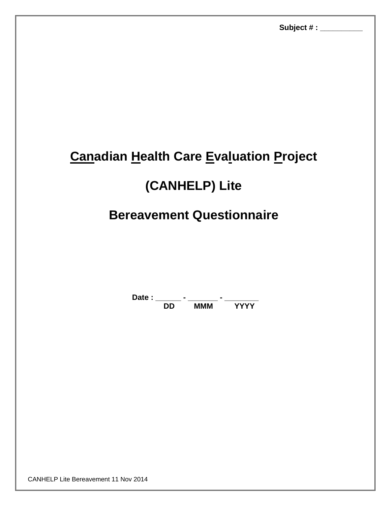# **Canadian Health Care Evaluation Project**

## **(CANHELP) Lite**

## **Bereavement Questionnaire**

Date : \_\_\_\_\_\_\_ - \_\_\_\_\_\_\_\_ - \_\_\_\_\_\_\_\_\_\_ **DD MMM YYYY**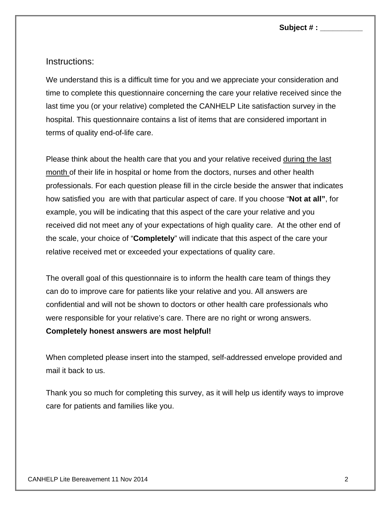**Subject # : \_\_\_\_\_\_\_\_\_\_** 

### Instructions:

We understand this is a difficult time for you and we appreciate your consideration and time to complete this questionnaire concerning the care your relative received since the last time you (or your relative) completed the CANHELP Lite satisfaction survey in the hospital. This questionnaire contains a list of items that are considered important in terms of quality end-of-life care.

Please think about the health care that you and your relative received during the last month of their life in hospital or home from the doctors, nurses and other health professionals. For each question please fill in the circle beside the answer that indicates how satisfied you are with that particular aspect of care. If you choose "**Not at all"**, for example, you will be indicating that this aspect of the care your relative and you received did not meet any of your expectations of high quality care. At the other end of the scale, your choice of "**Completely**" will indicate that this aspect of the care your relative received met or exceeded your expectations of quality care.

The overall goal of this questionnaire is to inform the health care team of things they can do to improve care for patients like your relative and you. All answers are confidential and will not be shown to doctors or other health care professionals who were responsible for your relative's care. There are no right or wrong answers.

#### **Completely honest answers are most helpful!**

When completed please insert into the stamped, self-addressed envelope provided and mail it back to us.

Thank you so much for completing this survey, as it will help us identify ways to improve care for patients and families like you.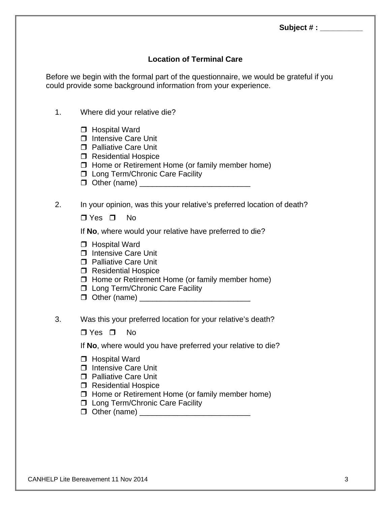## **Location of Terminal Care**

Before we begin with the formal part of the questionnaire, we would be grateful if you could provide some background information from your experience.

- 1. Where did your relative die?
	- □ Hospital Ward
	- $\Box$  Intensive Care Unit
	- □ Palliative Care Unit
	- □ Residential Hospice
	- $\Box$  Home or Retirement Home (or family member home)
	- □ Long Term/Chronic Care Facility
	- $\Box$  Other (name)

### 2. In your opinion, was this your relative's preferred location of death?

 $\Box$  Yes  $\Box$  No.

If **No**, where would your relative have preferred to die?

- **Hospital Ward**
- □ Intensive Care Unit
- **D** Palliative Care Unit
- □ Residential Hospice
- $\Box$  Home or Retirement Home (or family member home)
- **I** Long Term/Chronic Care Facility
- Other (name) \_\_\_\_\_\_\_\_\_\_\_\_\_\_\_\_\_\_\_\_\_\_\_\_\_\_
- 3. Was this your preferred location for your relative's death?

 $\Box$  Yes  $\Box$  No

If **No**, where would you have preferred your relative to die?

- □ Hospital Ward
- □ Intensive Care Unit
- □ Palliative Care Unit
- □ Residential Hospice
- $\Box$  Home or Retirement Home (or family member home)
- **D** Long Term/Chronic Care Facility
- Other (name) \_\_\_\_\_\_\_\_\_\_\_\_\_\_\_\_\_\_\_\_\_\_\_\_\_\_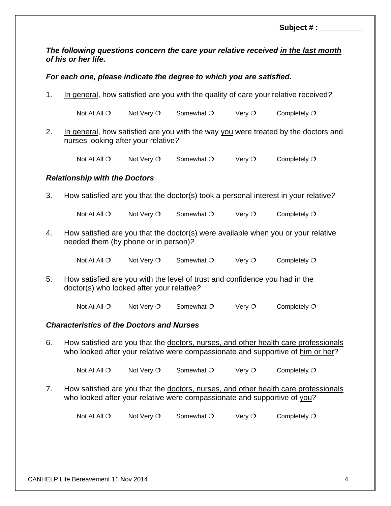**Subject # : \_\_\_\_\_\_\_\_\_\_** 

*The following questions concern the care your relative received in the last month of his or her life.* 

*For each one, please indicate the degree to which you are satisfied.* 

1. In general, how satisfied are you with the quality of care your relative received*?* 

Not At All  $\circ$  Not Very  $\circ$  Somewhat  $\circ$  Very  $\circ$  Completely  $\circ$ 

2. In general, how satisfied are you with the way you were treated by the doctors and nurses looking after your relative*?* 

Not At All  $\circ$  Not Very  $\circ$  Somewhat  $\circ$  Very  $\circ$  Completely  $\circ$ 

#### *Relationship with the Doctors*

3. How satisfied are you that the doctor(s) took a personal interest in your relative*?* 

Not At All  $\circ$  Not Very  $\circ$  Somewhat  $\circ$  Very  $\circ$  Completely  $\circ$ 

4. How satisfied are you that the doctor(s) were available when you or your relative needed them (by phone or in person)*?*

Not At All  $O$  Not Very  $O$  Somewhat  $O$  Very  $O$  Completely  $O$ 

5. How satisfied are you with the level of trust and confidence you had in the doctor(s) who looked after your relative*?*

Not At All  $\circ$  Not Very  $\circ$  Somewhat  $\circ$  Very  $\circ$  Completely  $\circ$ 

#### *Characteristics of the Doctors and Nurses*

6. How satisfied are you that the doctors, nurses, and other health care professionals who looked after your relative were compassionate and supportive of him or her?

Not At All  $O$  Not Very  $O$  Somewhat  $O$  Very  $O$  Completely  $O$ 

7. How satisfied are you that the doctors, nurses, and other health care professionals who looked after your relative were compassionate and supportive of you?

Not At All  $\circ$  Not Very  $\circ$  Somewhat  $\circ$  Very  $\circ$  Completely  $\circ$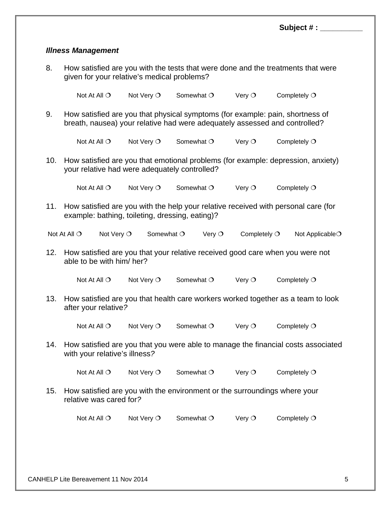|                           |                                                                                                                                                             |            |            |                 | Subject $#:$   |  |  |  |
|---------------------------|-------------------------------------------------------------------------------------------------------------------------------------------------------------|------------|------------|-----------------|----------------|--|--|--|
|                           |                                                                                                                                                             |            |            |                 |                |  |  |  |
| <b>Illness Management</b> |                                                                                                                                                             |            |            |                 |                |  |  |  |
| 8.                        | How satisfied are you with the tests that were done and the treatments that were<br>given for your relative's medical problems?                             |            |            |                 |                |  |  |  |
|                           | Not At All $\bigcirc$                                                                                                                                       | Not Very O | Somewhat O | Very $O$        | Completely $O$ |  |  |  |
| 9.                        | How satisfied are you that physical symptoms (for example: pain, shortness of<br>breath, nausea) your relative had were adequately assessed and controlled? |            |            |                 |                |  |  |  |
|                           | Not At All $\bigcirc$                                                                                                                                       | Not Very O | Somewhat O | Very $\circ$    | Completely $O$ |  |  |  |
| 10.                       | How satisfied are you that emotional problems (for example: depression, anxiety)<br>your relative had were adequately controlled?                           |            |            |                 |                |  |  |  |
|                           | Not At All $\bigcirc$                                                                                                                                       | Not Very O | Somewhat O | Very $\circ$    | Completely $O$ |  |  |  |
| 11.                       | How satisfied are you with the help your relative received with personal care (for<br>example: bathing, toileting, dressing, eating)?                       |            |            |                 |                |  |  |  |
|                           | Not At All O<br>Not Very O<br>Somewhat O<br>Completely $O$<br>Very $\circ$<br>Not Applicable <sup>O</sup>                                                   |            |            |                 |                |  |  |  |
| 12.                       | How satisfied are you that your relative received good care when you were not<br>able to be with him/ her?                                                  |            |            |                 |                |  |  |  |
|                           | Not At All $\bigcirc$                                                                                                                                       | Not Very O | Somewhat O | Very $O$        | Completely $O$ |  |  |  |
| 13.                       | How satisfied are you that health care workers worked together as a team to look<br>after your relative?                                                    |            |            |                 |                |  |  |  |
|                           | Not At All $\bigcirc$                                                                                                                                       | Not Very O | Somewhat O | Very $\bigcirc$ | Completely $O$ |  |  |  |
| 14.                       | How satisfied are you that you were able to manage the financial costs associated<br>with your relative's illness?                                          |            |            |                 |                |  |  |  |
|                           | Not At All $\bigcirc$                                                                                                                                       | Not Very O | Somewhat O | Very $O$        | Completely $O$ |  |  |  |
| 15.                       | How satisfied are you with the environment or the surroundings where your<br>relative was cared for?                                                        |            |            |                 |                |  |  |  |
|                           | Not At All O                                                                                                                                                | Not Very O | Somewhat O | Very $O$        | Completely $O$ |  |  |  |
|                           |                                                                                                                                                             |            |            |                 |                |  |  |  |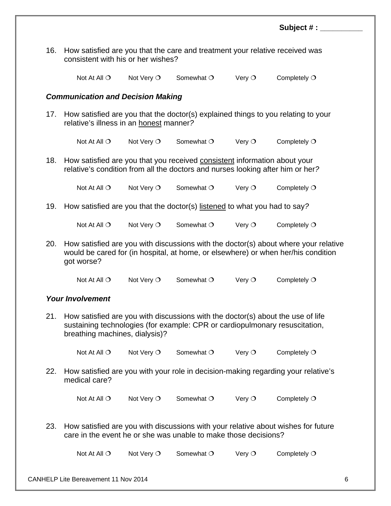|                                          |                                                                                                                                                                                                  |                     |                     |                 | Subject # :    |  |  |  |  |
|------------------------------------------|--------------------------------------------------------------------------------------------------------------------------------------------------------------------------------------------------|---------------------|---------------------|-----------------|----------------|--|--|--|--|
| 16.                                      | How satisfied are you that the care and treatment your relative received was<br>consistent with his or her wishes?                                                                               |                     |                     |                 |                |  |  |  |  |
|                                          | Not At All $\bigcirc$                                                                                                                                                                            | Not Very $\bigcirc$ | Somewhat $\bigcirc$ | Very $O$        | Completely $O$ |  |  |  |  |
| <b>Communication and Decision Making</b> |                                                                                                                                                                                                  |                     |                     |                 |                |  |  |  |  |
| 17.                                      | How satisfied are you that the doctor(s) explained things to you relating to your<br>relative's illness in an honest manner?                                                                     |                     |                     |                 |                |  |  |  |  |
|                                          | Not At All $\bigcirc$                                                                                                                                                                            | Not Very $\circ$    | Somewhat O          | Very $\bigcirc$ | Completely $O$ |  |  |  |  |
| 18.                                      | How satisfied are you that you received consistent information about your<br>relative's condition from all the doctors and nurses looking after him or her?                                      |                     |                     |                 |                |  |  |  |  |
|                                          | Not At All $\bigcirc$                                                                                                                                                                            | Not Very $\bigcirc$ | Somewhat O          | Very $\bigcirc$ | Completely $O$ |  |  |  |  |
| 19.                                      | How satisfied are you that the doctor(s) listened to what you had to say?                                                                                                                        |                     |                     |                 |                |  |  |  |  |
|                                          | Not At All $\bigcirc$                                                                                                                                                                            | Not Very $\bigcirc$ | Somewhat $\bigcirc$ | Very $\circ$    | Completely $O$ |  |  |  |  |
| 20.                                      | How satisfied are you with discussions with the doctor(s) about where your relative<br>would be cared for (in hospital, at home, or elsewhere) or when her/his condition<br>got worse?           |                     |                     |                 |                |  |  |  |  |
|                                          | Not At All $\bigcirc$                                                                                                                                                                            | Not Very O          | Somewhat $\bigcirc$ | Very $\circ$    | Completely $O$ |  |  |  |  |
| <b>Your Involvement</b>                  |                                                                                                                                                                                                  |                     |                     |                 |                |  |  |  |  |
| 21.                                      | How satisfied are you with discussions with the doctor(s) about the use of life<br>sustaining technologies (for example: CPR or cardiopulmonary resuscitation,<br>breathing machines, dialysis)? |                     |                     |                 |                |  |  |  |  |
|                                          | Not At All $\bigcirc$                                                                                                                                                                            | Not Very O          | Somewhat O          | Very $\bigcirc$ | Completely $O$ |  |  |  |  |
| 22.                                      | How satisfied are you with your role in decision-making regarding your relative's<br>medical care?                                                                                               |                     |                     |                 |                |  |  |  |  |
|                                          | Not At All $\bigcirc$                                                                                                                                                                            | Not Very O          | Somewhat O          | Very $\bigcirc$ | Completely O   |  |  |  |  |
| 23.                                      | How satisfied are you with discussions with your relative about wishes for future<br>care in the event he or she was unable to make those decisions?                                             |                     |                     |                 |                |  |  |  |  |
|                                          | Not At All $\bigcirc$                                                                                                                                                                            | Not Very O          | Somewhat O          | Very $\circ$    | Completely $O$ |  |  |  |  |
|                                          |                                                                                                                                                                                                  |                     |                     |                 |                |  |  |  |  |